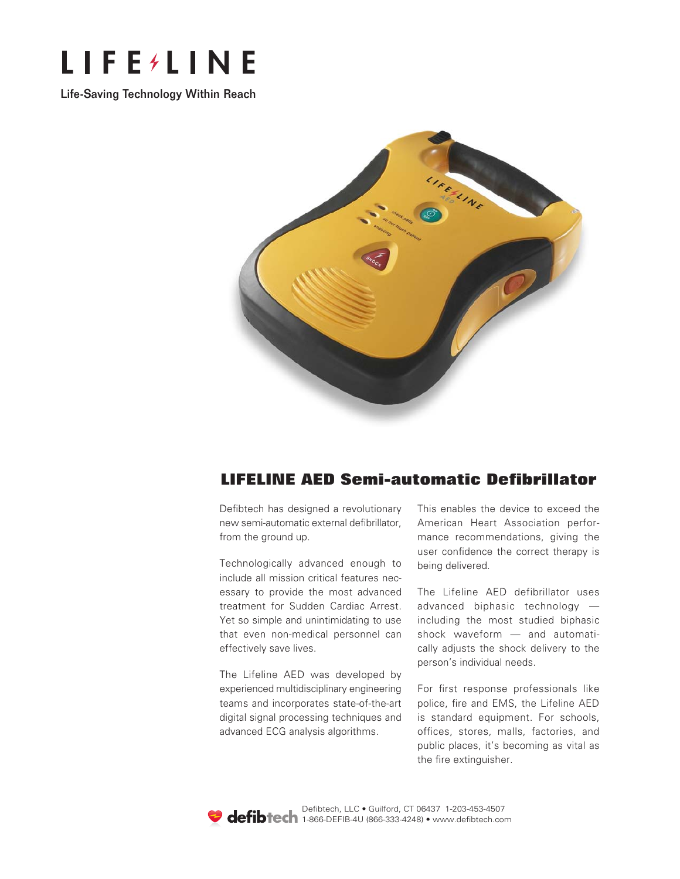

Life-Saving Technology Within Reach Life-Saving Technology Within Reach



# **LIFELINE AED Semi-automatic Defibrillator LIFELINE AED Semi-automatic Defibrillator LIFELINE AED Semi-automatic Defibrillator**

Defibtech has designed a revolutionary Defibtech has designed a revolutionary Defibtech has designed a revolutionary new semi-automatic external defibrillator, new semi-automatic external defibrillator, new semi-automatic external defibrillator, from the ground up. from the ground up. from the ground up.

Technologically advanced enough to Technologically advanced enough to Technologically advanced enough to include all mission critical features nec-include all mission critical features nec-include all mission critical features necessary to provide the most advanced essary to provide the most advanced essary to provide the most advanced treatment for Sudden Cardiac Arrest. treatment for Sudden Cardiac Arrest. treatment for Sudden Cardiac Arrest. Yet so simple and unintimidating to use Yet so simple and unintimidating to use Yet so simple and unintimidating to use that even non-medical personnel can that even non-medical personnel can that even non-medical personnel can effectively save lives. effectively save lives. effectively save lives.

The Lifeline AED was developed by The Lifeline AED was developed by The Lifeline AED was developed by experienced multidisciplinary engineering experienced multidisciplinary engineering experienced multidisciplinary engineering teams and incorporates state-of-the-art teams and incorporates state-of-the-art teams and incorporates state-of-the-art digital signal processing techniques and digital signal processing techniques and digital signal processing techniques and advanced ECG analysis algorithms. advanced ECG analysis algorithms. advanced ECG analysis algorithms.

This enables the device to exceed the This enables the device to exceed the This enables the device to exceed the American Heart Association perfor-American Heart Association perfor-American Heart Association performance recommendations, giving the mance recommendations, giving the mance recommendations, giving the user confidence the correct therapy is user confidence the correct therapy is user confidence the correct therapy is being delivered. being delivered. being delivered.

The Lifeline AED defibrillator uses The Lifeline AED defibrillator uses The Lifeline AED defibrillator uses advanced biphasic technology — advanced biphasic technology — advanced biphasic technology including the most studied biphasic including the most studied biphasic including the most studied biphasic shock waveform — and automatically adjusts the shock delivery to the person's individual needs. person's individual needs. person's individual needs.

For first response professionals like For first response professionals like For first response professionals like police, fire and EMS, the Lifeline AED police, fire and EMS, the Lifeline AED police, fire and EMS, the Lifeline AED is standard equipment. For schools, is standard equipment. For schools, is standard equipment. For schools, offices, stores, malls, factories, and offices, stores, malls, factories, and offices, stores, malls, factories, and public places, it's becoming as vital as public places, it's becoming as vital as public places, it's becoming as vital as the fire extinguisher. the fire extinguisher. the fire extinguisher.